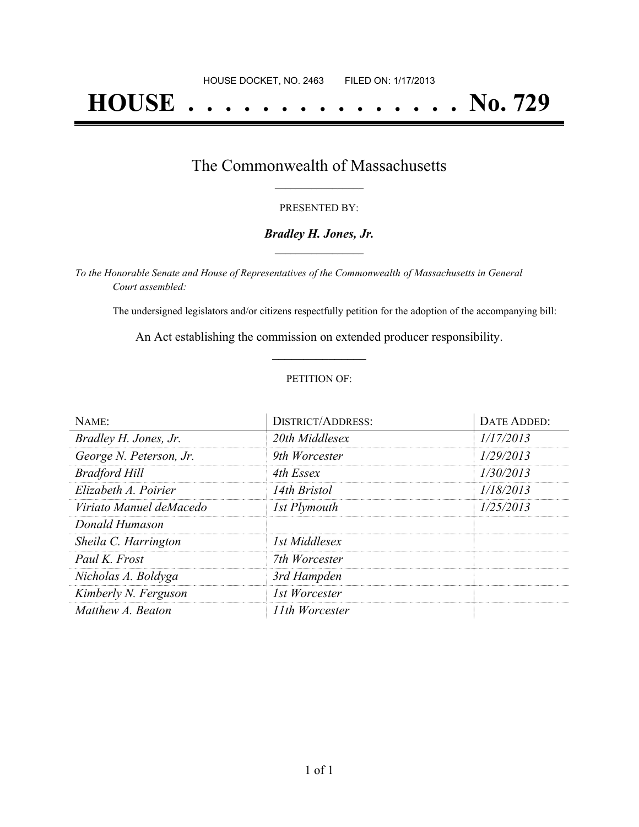# **HOUSE . . . . . . . . . . . . . . . No. 729**

## The Commonwealth of Massachusetts **\_\_\_\_\_\_\_\_\_\_\_\_\_\_\_\_\_**

#### PRESENTED BY:

#### *Bradley H. Jones, Jr.* **\_\_\_\_\_\_\_\_\_\_\_\_\_\_\_\_\_**

*To the Honorable Senate and House of Representatives of the Commonwealth of Massachusetts in General Court assembled:*

The undersigned legislators and/or citizens respectfully petition for the adoption of the accompanying bill:

An Act establishing the commission on extended producer responsibility. **\_\_\_\_\_\_\_\_\_\_\_\_\_\_\_**

#### PETITION OF:

| NAME:                   | <b>DISTRICT/ADDRESS:</b> | DATE ADDED: |
|-------------------------|--------------------------|-------------|
| Bradley H. Jones, Jr.   | 20th Middlesex           | 1/17/2013   |
| George N. Peterson, Jr. | 9th Worcester            | 1/29/2013   |
| <b>Bradford Hill</b>    | 4th Essex                | 1/30/2013   |
| Elizabeth A. Poirier    | 14th Bristol             | 1/18/2013   |
| Viriato Manuel deMacedo | 1st Plymouth             | 1/25/2013   |
| Donald Humason          |                          |             |
| Sheila C. Harrington    | 1st Middlesex            |             |
| Paul K. Frost           | 7th Worcester            |             |
| Nicholas A. Boldyga     | 3rd Hampden              |             |
| Kimberly N. Ferguson    | 1st Worcester            |             |
| Matthew A. Beaton       | 11th Worcester           |             |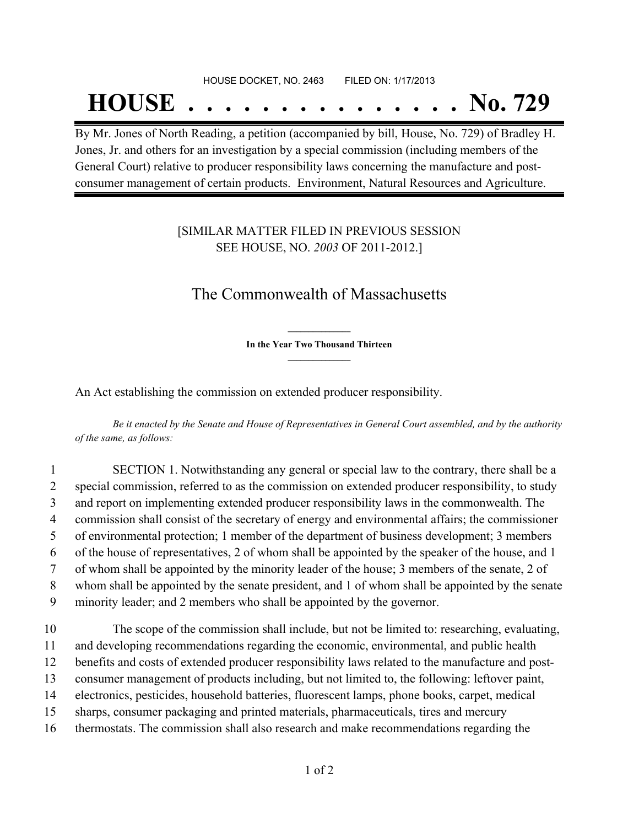# HOUSE DOCKET, NO. 2463 FILED ON: 1/17/2013 **HOUSE . . . . . . . . . . . . . . . No. 729**

By Mr. Jones of North Reading, a petition (accompanied by bill, House, No. 729) of Bradley H. Jones, Jr. and others for an investigation by a special commission (including members of the General Court) relative to producer responsibility laws concerning the manufacture and postconsumer management of certain products. Environment, Natural Resources and Agriculture.

### [SIMILAR MATTER FILED IN PREVIOUS SESSION SEE HOUSE, NO. *2003* OF 2011-2012.]

## The Commonwealth of Massachusetts

**\_\_\_\_\_\_\_\_\_\_\_\_\_\_\_ In the Year Two Thousand Thirteen \_\_\_\_\_\_\_\_\_\_\_\_\_\_\_**

An Act establishing the commission on extended producer responsibility.

Be it enacted by the Senate and House of Representatives in General Court assembled, and by the authority *of the same, as follows:*

 SECTION 1. Notwithstanding any general or special law to the contrary, there shall be a special commission, referred to as the commission on extended producer responsibility, to study and report on implementing extended producer responsibility laws in the commonwealth. The commission shall consist of the secretary of energy and environmental affairs; the commissioner of environmental protection; 1 member of the department of business development; 3 members of the house of representatives, 2 of whom shall be appointed by the speaker of the house, and 1 of whom shall be appointed by the minority leader of the house; 3 members of the senate, 2 of whom shall be appointed by the senate president, and 1 of whom shall be appointed by the senate minority leader; and 2 members who shall be appointed by the governor.

 The scope of the commission shall include, but not be limited to: researching, evaluating, and developing recommendations regarding the economic, environmental, and public health benefits and costs of extended producer responsibility laws related to the manufacture and post- consumer management of products including, but not limited to, the following: leftover paint, electronics, pesticides, household batteries, fluorescent lamps, phone books, carpet, medical sharps, consumer packaging and printed materials, pharmaceuticals, tires and mercury thermostats. The commission shall also research and make recommendations regarding the